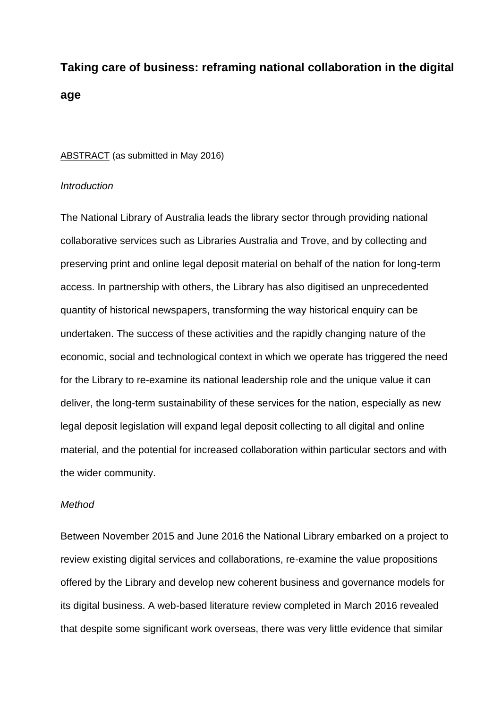# **Taking care of business: reframing national collaboration in the digital age**

#### ABSTRACT (as submitted in May 2016)

#### *Introduction*

The National Library of Australia leads the library sector through providing national collaborative services such as Libraries Australia and Trove, and by collecting and preserving print and online legal deposit material on behalf of the nation for long-term access. In partnership with others, the Library has also digitised an unprecedented quantity of historical newspapers, transforming the way historical enquiry can be undertaken. The success of these activities and the rapidly changing nature of the economic, social and technological context in which we operate has triggered the need for the Library to re-examine its national leadership role and the unique value it can deliver, the long-term sustainability of these services for the nation, especially as new legal deposit legislation will expand legal deposit collecting to all digital and online material, and the potential for increased collaboration within particular sectors and with the wider community.

# *Method*

Between November 2015 and June 2016 the National Library embarked on a project to review existing digital services and collaborations, re-examine the value propositions offered by the Library and develop new coherent business and governance models for its digital business. A web-based literature review completed in March 2016 revealed that despite some significant work overseas, there was very little evidence that similar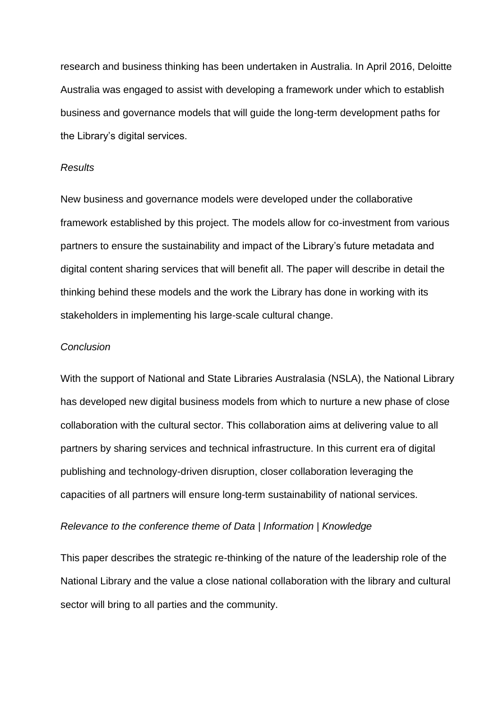research and business thinking has been undertaken in Australia. In April 2016, Deloitte Australia was engaged to assist with developing a framework under which to establish business and governance models that will guide the long-term development paths for the Library's digital services.

#### *Results*

New business and governance models were developed under the collaborative framework established by this project. The models allow for co-investment from various partners to ensure the sustainability and impact of the Library's future metadata and digital content sharing services that will benefit all. The paper will describe in detail the thinking behind these models and the work the Library has done in working with its stakeholders in implementing his large-scale cultural change.

### *Conclusion*

With the support of National and State Libraries Australasia (NSLA), the National Library has developed new digital business models from which to nurture a new phase of close collaboration with the cultural sector. This collaboration aims at delivering value to all partners by sharing services and technical infrastructure. In this current era of digital publishing and technology-driven disruption, closer collaboration leveraging the capacities of all partners will ensure long-term sustainability of national services.

#### *Relevance to the conference theme of Data | Information | Knowledge*

This paper describes the strategic re-thinking of the nature of the leadership role of the National Library and the value a close national collaboration with the library and cultural sector will bring to all parties and the community.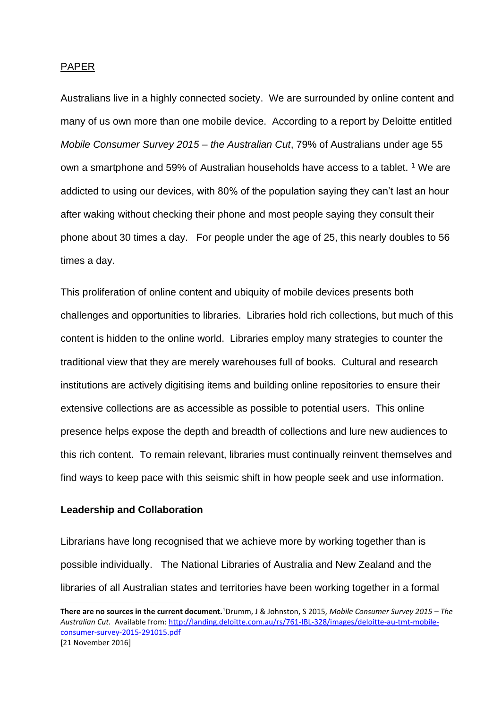#### PAPER

Australians live in a highly connected society. We are surrounded by online content and many of us own more than one mobile device. According to a report by Deloitte entitled *Mobile Consumer Survey 2015 – the Australian Cut*, 79% of Australians under age 55 own a smartphone and 59% of Australian households have access to a tablet. <sup>1</sup> We are addicted to using our devices, with 80% of the population saying they can't last an hour after waking without checking their phone and most people saying they consult their phone about 30 times a day. For people under the age of 25, this nearly doubles to 56 times a day.

This proliferation of online content and ubiquity of mobile devices presents both challenges and opportunities to libraries. Libraries hold rich collections, but much of this content is hidden to the online world. Libraries employ many strategies to counter the traditional view that they are merely warehouses full of books. Cultural and research institutions are actively digitising items and building online repositories to ensure their extensive collections are as accessible as possible to potential users. This online presence helps expose the depth and breadth of collections and lure new audiences to this rich content. To remain relevant, libraries must continually reinvent themselves and find ways to keep pace with this seismic shift in how people seek and use information.

#### **Leadership and Collaboration**

Librarians have long recognised that we achieve more by working together than is possible individually. The National Libraries of Australia and New Zealand and the libraries of all Australian states and territories have been working together in a formal

**There are no sources in the current document.**<sup>1</sup>Drumm, J & Johnston, S 2015, *Mobile Consumer Survey 2015 – The Australian Cut.* Available from[: http://landing.deloitte.com.au/rs/761-IBL-328/images/deloitte-au-tmt-mobile](http://landing.deloitte.com.au/rs/761-IBL-328/images/deloitte-au-tmt-mobile-consumer-survey-2015-291015.pdf)[consumer-survey-2015-291015.pdf](http://landing.deloitte.com.au/rs/761-IBL-328/images/deloitte-au-tmt-mobile-consumer-survey-2015-291015.pdf)  [21 November 2016]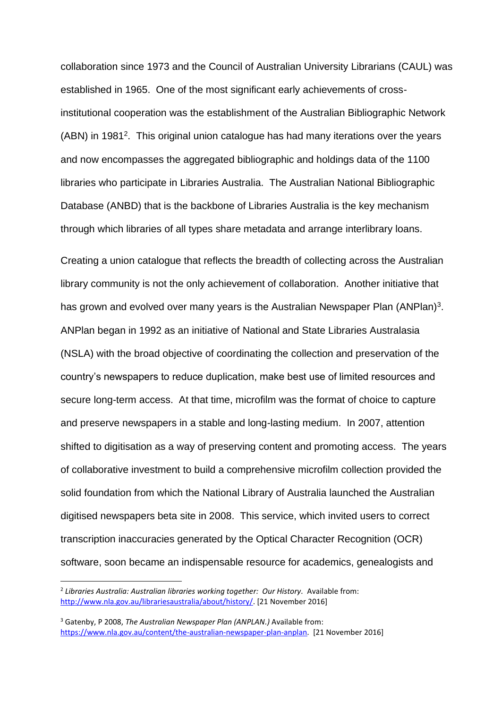collaboration since 1973 and the Council of Australian University Librarians (CAUL) was established in 1965. One of the most significant early achievements of crossinstitutional cooperation was the establishment of the Australian Bibliographic Network (ABN) in 1981<sup>2</sup>. This original union catalogue has had many iterations over the years and now encompasses the aggregated bibliographic and holdings data of the 1100 libraries who participate in Libraries Australia. The Australian National Bibliographic Database (ANBD) that is the backbone of Libraries Australia is the key mechanism through which libraries of all types share metadata and arrange interlibrary loans.

Creating a union catalogue that reflects the breadth of collecting across the Australian library community is not the only achievement of collaboration. Another initiative that has grown and evolved over many years is the Australian Newspaper Plan (ANPlan)<sup>3</sup>. ANPlan began in 1992 as an initiative of National and State Libraries Australasia (NSLA) with the broad objective of coordinating the collection and preservation of the country's newspapers to reduce duplication, make best use of limited resources and secure long-term access. At that time, microfilm was the format of choice to capture and preserve newspapers in a stable and long-lasting medium. In 2007, attention shifted to digitisation as a way of preserving content and promoting access. The years of collaborative investment to build a comprehensive microfilm collection provided the solid foundation from which the National Library of Australia launched the Australian digitised newspapers beta site in 2008. This service, which invited users to correct transcription inaccuracies generated by the Optical Character Recognition (OCR) software, soon became an indispensable resource for academics, genealogists and

<sup>2</sup> *Libraries Australia: Australian libraries working together: Our History.* Available from: [http://www.nla.gov.au/librariesaustralia/about/history/.](http://www.nla.gov.au/librariesaustralia/about/history/) [21 November 2016]

<sup>3</sup> Gatenby, P 2008, *The Australian Newspaper Plan (ANPLAN.)* Available from: [https://www.nla.gov.au/content/the-australian-newspaper-plan-anplan.](https://www.nla.gov.au/content/the-australian-newspaper-plan-anplan) [21 November 2016]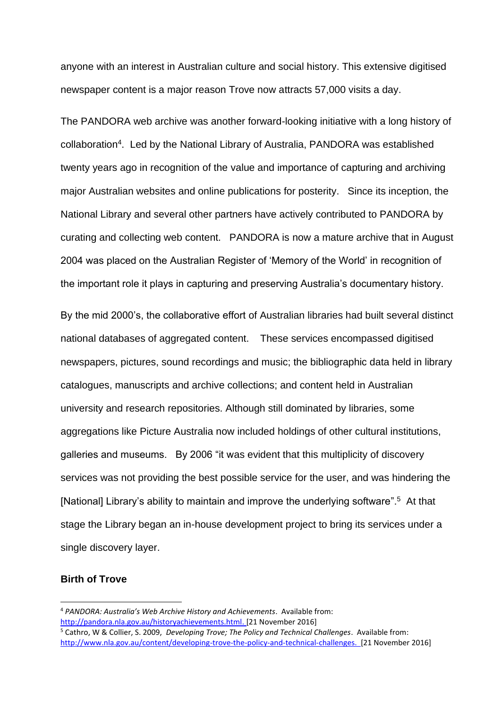anyone with an interest in Australian culture and social history. This extensive digitised newspaper content is a major reason Trove now attracts 57,000 visits a day.

The PANDORA web archive was another forward-looking initiative with a long history of collaboration<sup>4</sup>. Led by the National Library of Australia, PANDORA was established twenty years ago in recognition of the value and importance of capturing and archiving major Australian websites and online publications for posterity. Since its inception, the National Library and several other partners have actively contributed to PANDORA by curating and collecting web content. PANDORA is now a mature archive that in August 2004 was placed on the Australian Register of 'Memory of the World' in recognition of the important role it plays in capturing and preserving Australia's documentary history.

By the mid 2000's, the collaborative effort of Australian libraries had built several distinct national databases of aggregated content. These services encompassed digitised newspapers, pictures, sound recordings and music; the bibliographic data held in library catalogues, manuscripts and archive collections; and content held in Australian university and research repositories. Although still dominated by libraries, some aggregations like Picture Australia now included holdings of other cultural institutions, galleries and museums. By 2006 "it was evident that this multiplicity of discovery services was not providing the best possible service for the user, and was hindering the [National] Library's ability to maintain and improve the underlying software".<sup>5</sup> At that stage the Library began an in-house development project to bring its services under a single discovery layer.

# **Birth of Trove**

<sup>4</sup> *PANDORA: Australia's Web Archive History and Achievements*. Available from: [http://pandora.nla.gov.au/historyachievements.html.](http://pandora.nla.gov.au/historyachievements.html) [21 November 2016] <sup>5</sup> Cathro, W & Collier, S. 2009, *Developing Trove; The Policy and Technical Challenges*. Available from:

[http://www.nla.gov.au/content/developing-trove-the-policy-and-technical-challenges.](http://www.nla.gov.au/content/developing-trove-the-policy-and-technical-challenges) [21 November 2016]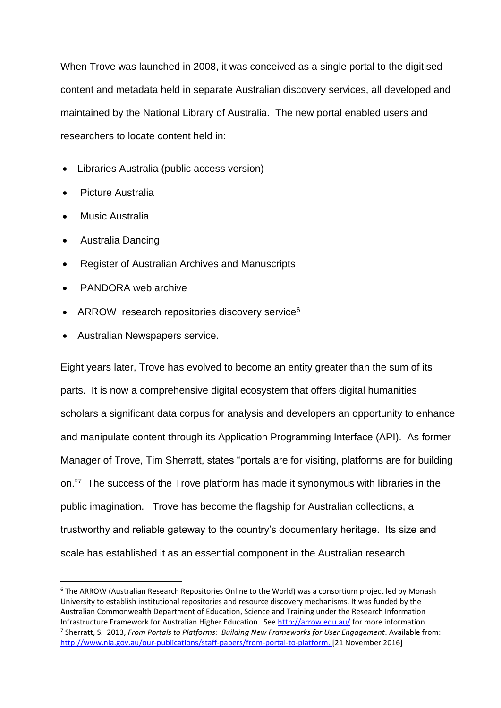When Trove was launched in 2008, it was conceived as a single portal to the digitised content and metadata held in separate Australian discovery services, all developed and maintained by the National Library of Australia. The new portal enabled users and researchers to locate content held in:

- Libraries Australia (public access version)
- Picture Australia
- **Music Australia**
- Australia Dancing
- Register of Australian Archives and Manuscripts
- PANDORA web archive
- ARROW research repositories discovery service<sup>6</sup>
- Australian Newspapers service.

Eight years later, Trove has evolved to become an entity greater than the sum of its parts. It is now a comprehensive digital ecosystem that offers digital humanities scholars a significant data corpus for analysis and developers an opportunity to enhance and manipulate content through its Application Programming Interface (API). As former Manager of Trove, Tim Sherratt, states "portals are for visiting, platforms are for building on."<sup>7</sup> The success of the Trove platform has made it synonymous with libraries in the public imagination. Trove has become the flagship for Australian collections, a trustworthy and reliable gateway to the country's documentary heritage. Its size and scale has established it as an essential component in the Australian research

<sup>6</sup> The ARROW (Australian Research Repositories Online to the World) was a consortium project led by Monash University to establish institutional repositories and resource discovery mechanisms. It was funded by the Australian Commonwealth Department of Education, Science and Training under the Research Information Infrastructure Framework for Australian Higher Education. See<http://arrow.edu.au/> for more information. 7 Sherratt, S. 2013, *From Portals to Platforms: Building New Frameworks for User Engagement*. Available from: [http://www.nla.gov.au/our-publications/staff-papers/from-portal-to-platform.](http://www.nla.gov.au/our-publications/staff-papers/from-portal-to-platform) [21 November 2016]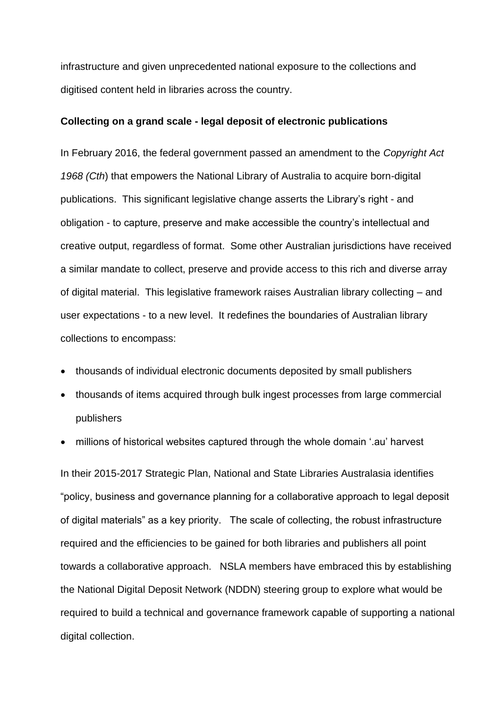infrastructure and given unprecedented national exposure to the collections and digitised content held in libraries across the country.

#### **Collecting on a grand scale - legal deposit of electronic publications**

In February 2016, the federal government passed an amendment to the *Copyright Act 1968 (Cth*) that empowers the National Library of Australia to acquire born-digital publications. This significant legislative change asserts the Library's right - and obligation - to capture, preserve and make accessible the country's intellectual and creative output, regardless of format. Some other Australian jurisdictions have received a similar mandate to collect, preserve and provide access to this rich and diverse array of digital material. This legislative framework raises Australian library collecting – and user expectations - to a new level. It redefines the boundaries of Australian library collections to encompass:

- thousands of individual electronic documents deposited by small publishers
- thousands of items acquired through bulk ingest processes from large commercial publishers
- millions of historical websites captured through the whole domain '.au' harvest

In their 2015-2017 Strategic Plan, National and State Libraries Australasia identifies "policy, business and governance planning for a collaborative approach to legal deposit of digital materials" as a key priority. The scale of collecting, the robust infrastructure required and the efficiencies to be gained for both libraries and publishers all point towards a collaborative approach. NSLA members have embraced this by establishing the National Digital Deposit Network (NDDN) steering group to explore what would be required to build a technical and governance framework capable of supporting a national digital collection.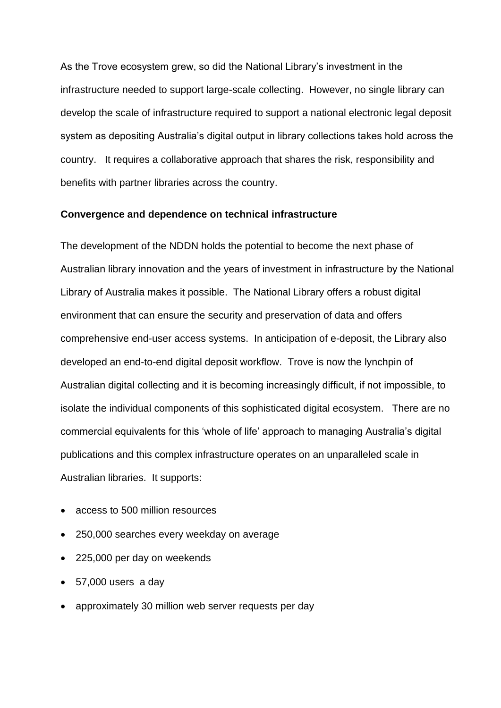As the Trove ecosystem grew, so did the National Library's investment in the infrastructure needed to support large-scale collecting. However, no single library can develop the scale of infrastructure required to support a national electronic legal deposit system as depositing Australia's digital output in library collections takes hold across the country. It requires a collaborative approach that shares the risk, responsibility and benefits with partner libraries across the country.

#### **Convergence and dependence on technical infrastructure**

The development of the NDDN holds the potential to become the next phase of Australian library innovation and the years of investment in infrastructure by the National Library of Australia makes it possible. The National Library offers a robust digital environment that can ensure the security and preservation of data and offers comprehensive end-user access systems. In anticipation of e-deposit, the Library also developed an end-to-end digital deposit workflow. Trove is now the lynchpin of Australian digital collecting and it is becoming increasingly difficult, if not impossible, to isolate the individual components of this sophisticated digital ecosystem. There are no commercial equivalents for this 'whole of life' approach to managing Australia's digital publications and this complex infrastructure operates on an unparalleled scale in Australian libraries. It supports:

- access to 500 million resources
- 250,000 searches every weekday on average
- 225,000 per day on weekends
- 57,000 users a day
- approximately 30 million web server requests per day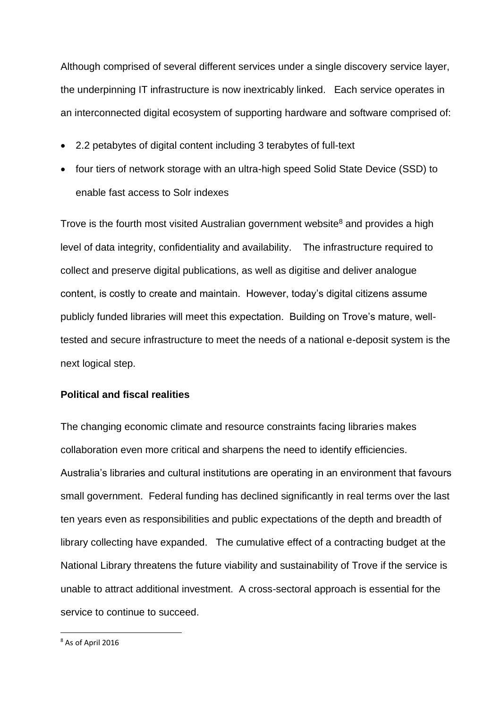Although comprised of several different services under a single discovery service layer, the underpinning IT infrastructure is now inextricably linked. Each service operates in an interconnected digital ecosystem of supporting hardware and software comprised of:

- 2.2 petabytes of digital content including 3 terabytes of full-text
- four tiers of network storage with an ultra-high speed Solid State Device (SSD) to enable fast access to Solr indexes

Trove is the fourth most visited Australian government website<sup>8</sup> and provides a high level of data integrity, confidentiality and availability. The infrastructure required to collect and preserve digital publications, as well as digitise and deliver analogue content, is costly to create and maintain. However, today's digital citizens assume publicly funded libraries will meet this expectation. Building on Trove's mature, welltested and secure infrastructure to meet the needs of a national e-deposit system is the next logical step.

# **Political and fiscal realities**

The changing economic climate and resource constraints facing libraries makes collaboration even more critical and sharpens the need to identify efficiencies. Australia's libraries and cultural institutions are operating in an environment that favours small government. Federal funding has declined significantly in real terms over the last ten years even as responsibilities and public expectations of the depth and breadth of library collecting have expanded. The cumulative effect of a contracting budget at the National Library threatens the future viability and sustainability of Trove if the service is unable to attract additional investment. A cross-sectoral approach is essential for the service to continue to succeed.

<sup>8</sup> As of April 2016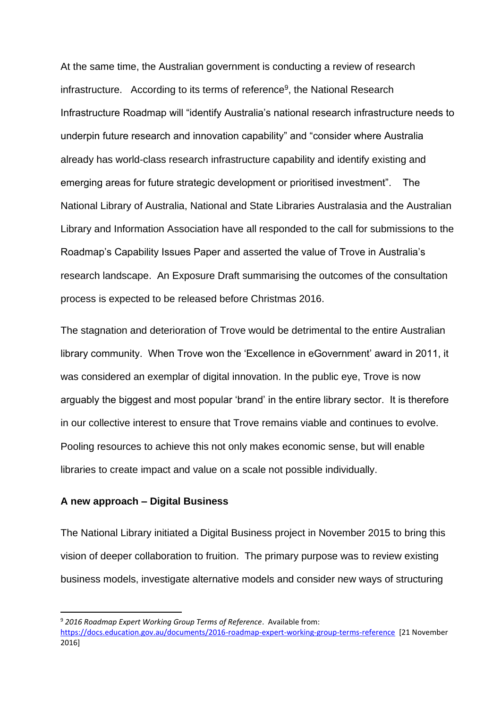At the same time, the Australian government is conducting a review of research infrastructure. According to its terms of reference<sup>9</sup>, the National Research Infrastructure Roadmap will "identify Australia's national research infrastructure needs to underpin future research and innovation capability" and "consider where Australia already has world-class research infrastructure capability and identify existing and emerging areas for future strategic development or prioritised investment". The National Library of Australia, National and State Libraries Australasia and the Australian Library and Information Association have all responded to the call for submissions to the Roadmap's Capability Issues Paper and asserted the value of Trove in Australia's research landscape. An Exposure Draft summarising the outcomes of the consultation process is expected to be released before Christmas 2016.

The stagnation and deterioration of Trove would be detrimental to the entire Australian library community. When Trove won the 'Excellence in eGovernment' award in 2011, it was considered an exemplar of digital innovation. In the public eye, Trove is now arguably the biggest and most popular 'brand' in the entire library sector. It is therefore in our collective interest to ensure that Trove remains viable and continues to evolve. Pooling resources to achieve this not only makes economic sense, but will enable libraries to create impact and value on a scale not possible individually.

# **A new approach – Digital Business**

The National Library initiated a Digital Business project in November 2015 to bring this vision of deeper collaboration to fruition. The primary purpose was to review existing business models, investigate alternative models and consider new ways of structuring

<sup>9</sup> *2016 Roadmap Expert Working Group Terms of Reference*. Available from:

<https://docs.education.gov.au/documents/2016-roadmap-expert-working-group-terms-reference>[21 November 2016]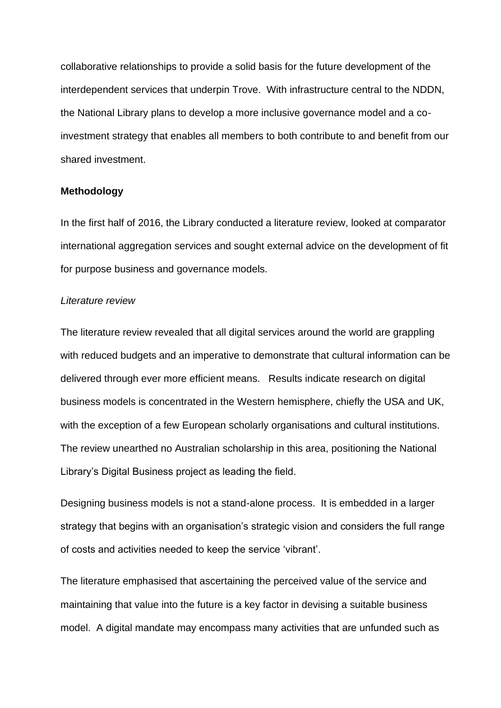collaborative relationships to provide a solid basis for the future development of the interdependent services that underpin Trove. With infrastructure central to the NDDN, the National Library plans to develop a more inclusive governance model and a coinvestment strategy that enables all members to both contribute to and benefit from our shared investment.

#### **Methodology**

In the first half of 2016, the Library conducted a literature review, looked at comparator international aggregation services and sought external advice on the development of fit for purpose business and governance models.

#### *Literature review*

The literature review revealed that all digital services around the world are grappling with reduced budgets and an imperative to demonstrate that cultural information can be delivered through ever more efficient means. Results indicate research on digital business models is concentrated in the Western hemisphere, chiefly the USA and UK, with the exception of a few European scholarly organisations and cultural institutions. The review unearthed no Australian scholarship in this area, positioning the National Library's Digital Business project as leading the field.

Designing business models is not a stand-alone process. It is embedded in a larger strategy that begins with an organisation's strategic vision and considers the full range of costs and activities needed to keep the service 'vibrant'.

The literature emphasised that ascertaining the perceived value of the service and maintaining that value into the future is a key factor in devising a suitable business model. A digital mandate may encompass many activities that are unfunded such as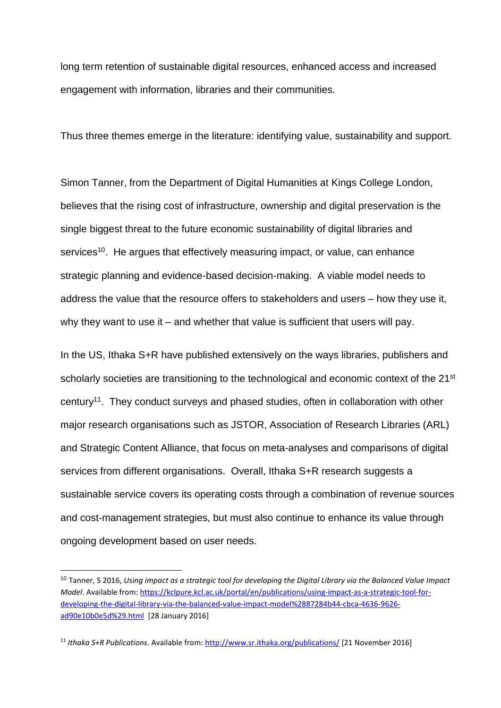long term retention of sustainable digital resources, enhanced access and increased engagement with information, libraries and their communities.

Thus three themes emerge in the literature: identifying value, sustainability and support.

Simon Tanner, from the Department of Digital Humanities at Kings College London, believes that the rising cost of infrastructure, ownership and digital preservation is the single biggest threat to the future economic sustainability of digital libraries and services<sup>10</sup>. He argues that effectively measuring impact, or value, can enhance strategic planning and evidence-based decision-making. A viable model needs to address the value that the resource offers to stakeholders and users – how they use it, why they want to use it – and whether that value is sufficient that users will pay.

In the US, Ithaka S+R have published extensively on the ways libraries, publishers and scholarly societies are transitioning to the technological and economic context of the 21<sup>st</sup> century<sup>11</sup>. They conduct surveys and phased studies, often in collaboration with other major research organisations such as JSTOR, Association of Research Libraries (ARL) and Strategic Content Alliance, that focus on meta-analyses and comparisons of digital services from different organisations. Overall, Ithaka S+R research suggests a sustainable service covers its operating costs through a combination of revenue sources and cost-management strategies, but must also continue to enhance its value through ongoing development based on user needs.

<sup>10</sup> Tanner, S 2016, *Using impact as a strategic tool for developing the Digital Library via the Balanced Value Impact Model*. Available from: [https://kclpure.kcl.ac.uk/portal/en/publications/using-impact-as-a-strategic-tool-for](https://kclpure.kcl.ac.uk/portal/en/publications/using-impact-as-a-strategic-tool-for-developing-the-digital-library-via-the-balanced-value-impact-model%2887284b44-cbca-4636-9626-ad90e10b0e5d%29.html)[developing-the-digital-library-via-the-balanced-value-impact-model%2887284b44-cbca-4636-9626](https://kclpure.kcl.ac.uk/portal/en/publications/using-impact-as-a-strategic-tool-for-developing-the-digital-library-via-the-balanced-value-impact-model%2887284b44-cbca-4636-9626-ad90e10b0e5d%29.html) [ad90e10b0e5d%29.html](https://kclpure.kcl.ac.uk/portal/en/publications/using-impact-as-a-strategic-tool-for-developing-the-digital-library-via-the-balanced-value-impact-model%2887284b44-cbca-4636-9626-ad90e10b0e5d%29.html) [28 January 2016]

<sup>11</sup> *Ithaka S+R Publications*. Available from:<http://www.sr.ithaka.org/publications/> [21 November 2016]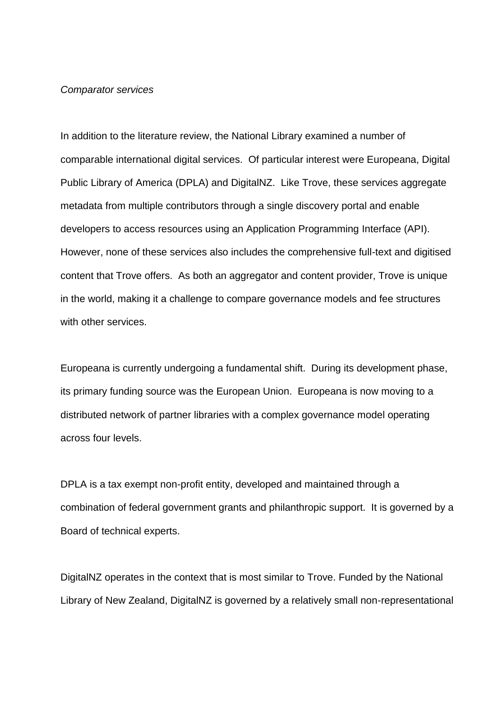#### *Comparator services*

In addition to the literature review, the National Library examined a number of comparable international digital services. Of particular interest were Europeana, Digital Public Library of America (DPLA) and DigitalNZ. Like Trove, these services aggregate metadata from multiple contributors through a single discovery portal and enable developers to access resources using an Application Programming Interface (API). However, none of these services also includes the comprehensive full-text and digitised content that Trove offers. As both an aggregator and content provider, Trove is unique in the world, making it a challenge to compare governance models and fee structures with other services.

Europeana is currently undergoing a fundamental shift. During its development phase, its primary funding source was the European Union. Europeana is now moving to a distributed network of partner libraries with a complex governance model operating across four levels.

DPLA is a tax exempt non-profit entity, developed and maintained through a combination of federal government grants and philanthropic support. It is governed by a Board of technical experts.

DigitalNZ operates in the context that is most similar to Trove. Funded by the National Library of New Zealand, DigitalNZ is governed by a relatively small non-representational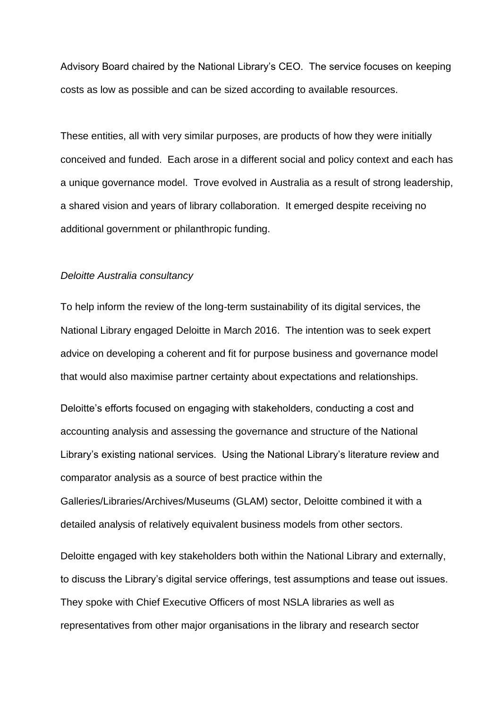Advisory Board chaired by the National Library's CEO. The service focuses on keeping costs as low as possible and can be sized according to available resources.

These entities, all with very similar purposes, are products of how they were initially conceived and funded. Each arose in a different social and policy context and each has a unique governance model. Trove evolved in Australia as a result of strong leadership, a shared vision and years of library collaboration. It emerged despite receiving no additional government or philanthropic funding.

#### *Deloitte Australia consultancy*

To help inform the review of the long-term sustainability of its digital services, the National Library engaged Deloitte in March 2016. The intention was to seek expert advice on developing a coherent and fit for purpose business and governance model that would also maximise partner certainty about expectations and relationships.

Deloitte's efforts focused on engaging with stakeholders, conducting a cost and accounting analysis and assessing the governance and structure of the National Library's existing national services. Using the National Library's literature review and comparator analysis as a source of best practice within the Galleries/Libraries/Archives/Museums (GLAM) sector, Deloitte combined it with a detailed analysis of relatively equivalent business models from other sectors.

Deloitte engaged with key stakeholders both within the National Library and externally, to discuss the Library's digital service offerings, test assumptions and tease out issues. They spoke with Chief Executive Officers of most NSLA libraries as well as representatives from other major organisations in the library and research sector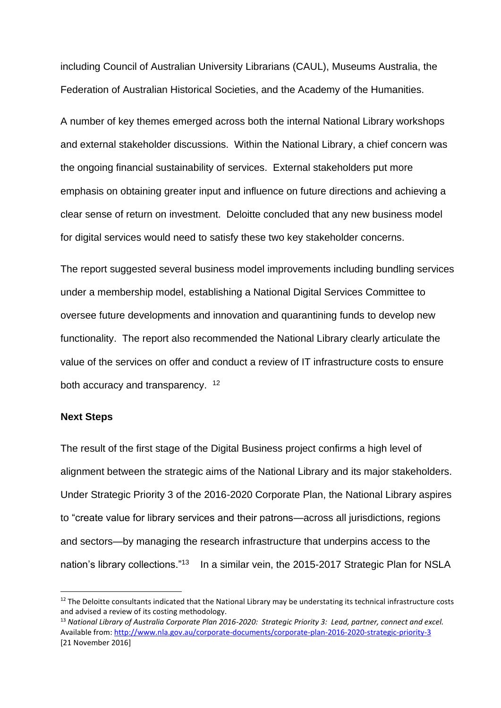including Council of Australian University Librarians (CAUL), Museums Australia, the Federation of Australian Historical Societies, and the Academy of the Humanities.

A number of key themes emerged across both the internal National Library workshops and external stakeholder discussions. Within the National Library, a chief concern was the ongoing financial sustainability of services. External stakeholders put more emphasis on obtaining greater input and influence on future directions and achieving a clear sense of return on investment. Deloitte concluded that any new business model for digital services would need to satisfy these two key stakeholder concerns.

The report suggested several business model improvements including bundling services under a membership model, establishing a National Digital Services Committee to oversee future developments and innovation and quarantining funds to develop new functionality. The report also recommended the National Library clearly articulate the value of the services on offer and conduct a review of IT infrastructure costs to ensure both accuracy and transparency. <sup>12</sup>

#### **Next Steps**

The result of the first stage of the Digital Business project confirms a high level of alignment between the strategic aims of the National Library and its major stakeholders. Under Strategic Priority 3 of the 2016-2020 Corporate Plan, the National Library aspires to "create value for library services and their patrons—across all jurisdictions, regions and sectors—by managing the research infrastructure that underpins access to the nation's library collections."<sup>13</sup> In a similar vein, the 2015-2017 Strategic Plan for NSLA

 $12$  The Deloitte consultants indicated that the National Library may be understating its technical infrastructure costs and advised a review of its costing methodology.

<sup>13</sup> *National Library of Australia Corporate Plan 2016-2020: Strategic Priority 3: Lead, partner, connect and excel.* Available from:<http://www.nla.gov.au/corporate-documents/corporate-plan-2016-2020-strategic-priority-3> [21 November 2016]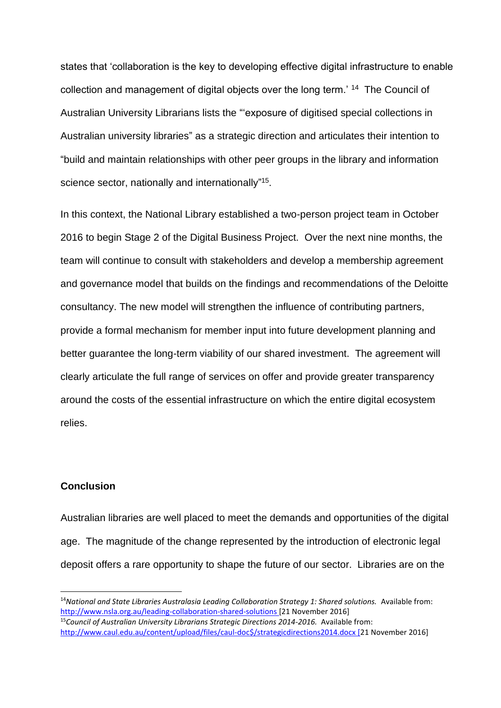states that 'collaboration is the key to developing effective digital infrastructure to enable collection and management of digital objects over the long term.' <sup>14</sup> The Council of Australian University Librarians lists the "'exposure of digitised special collections in Australian university libraries" as a strategic direction and articulates their intention to "build and maintain relationships with other peer groups in the library and information science sector, nationally and internationally"<sup>15</sup>.

In this context, the National Library established a two-person project team in October 2016 to begin Stage 2 of the Digital Business Project. Over the next nine months, the team will continue to consult with stakeholders and develop a membership agreement and governance model that builds on the findings and recommendations of the Deloitte consultancy. The new model will strengthen the influence of contributing partners, provide a formal mechanism for member input into future development planning and better guarantee the long-term viability of our shared investment. The agreement will clearly articulate the full range of services on offer and provide greater transparency around the costs of the essential infrastructure on which the entire digital ecosystem relies.

# **Conclusion**

Australian libraries are well placed to meet the demands and opportunities of the digital age. The magnitude of the change represented by the introduction of electronic legal deposit offers a rare opportunity to shape the future of our sector. Libraries are on the

<sup>14</sup>*National and State Libraries Australasia Leading Collaboration Strategy 1: Shared solutions.* Available from: <http://www.nsla.org.au/leading-collaboration-shared-solutions> [21 November 2016]

<sup>15</sup>*Council of Australian University Librarians Strategic Directions 2014-2016.* Available from: [http://www.caul.edu.au/content/upload/files/caul-doc\\$/strategicdirections2014.docx \[2](http://www.caul.edu.au/content/upload/files/caul-doc$/strategicdirections2014.docx%20%5b21)1 November 2016]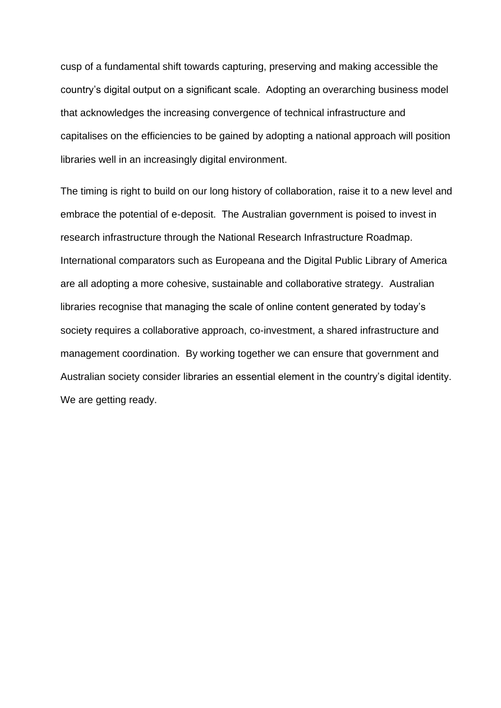cusp of a fundamental shift towards capturing, preserving and making accessible the country's digital output on a significant scale. Adopting an overarching business model that acknowledges the increasing convergence of technical infrastructure and capitalises on the efficiencies to be gained by adopting a national approach will position libraries well in an increasingly digital environment.

The timing is right to build on our long history of collaboration, raise it to a new level and embrace the potential of e-deposit. The Australian government is poised to invest in research infrastructure through the National Research Infrastructure Roadmap. International comparators such as Europeana and the Digital Public Library of America are all adopting a more cohesive, sustainable and collaborative strategy. Australian libraries recognise that managing the scale of online content generated by today's society requires a collaborative approach, co-investment, a shared infrastructure and management coordination. By working together we can ensure that government and Australian society consider libraries an essential element in the country's digital identity. We are getting ready.